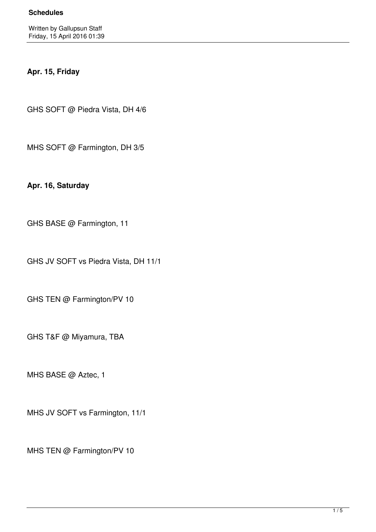## **Apr. 15, Friday**

GHS SOFT @ Piedra Vista, DH 4/6

MHS SOFT @ Farmington, DH 3/5

**Apr. 16, Saturday**

GHS BASE @ Farmington, 11

GHS JV SOFT vs Piedra Vista, DH 11/1

GHS TEN @ Farmington/PV 10

GHS T&F @ Miyamura, TBA

MHS BASE @ Aztec, 1

MHS JV SOFT vs Farmington, 11/1

MHS TEN @ Farmington/PV 10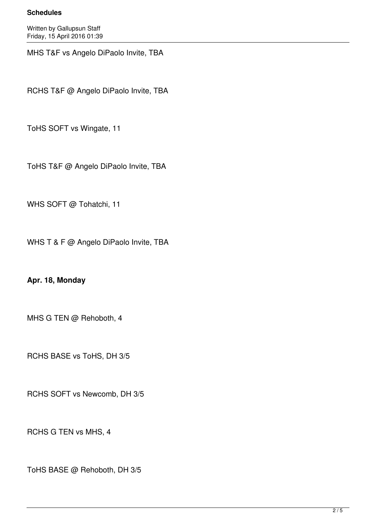## **Schedules**

Written by Gallupsun Staff Friday, 15 April 2016 01:39

MHS T&F vs Angelo DiPaolo Invite, TBA

RCHS T&F @ Angelo DiPaolo Invite, TBA

ToHS SOFT vs Wingate, 11

ToHS T&F @ Angelo DiPaolo Invite, TBA

WHS SOFT @ Tohatchi, 11

WHS T & F @ Angelo DiPaolo Invite, TBA

**Apr. 18, Monday**

MHS G TEN @ Rehoboth, 4

RCHS BASE vs ToHS, DH 3/5

RCHS SOFT vs Newcomb, DH 3/5

RCHS G TEN vs MHS, 4

ToHS BASE @ Rehoboth, DH 3/5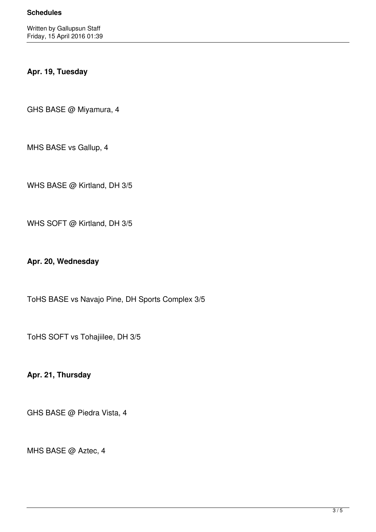## **Apr. 19, Tuesday**

GHS BASE @ Miyamura, 4

MHS BASE vs Gallup, 4

WHS BASE @ Kirtland, DH 3/5

WHS SOFT @ Kirtland, DH 3/5

**Apr. 20, Wednesday**

ToHS BASE vs Navajo Pine, DH Sports Complex 3/5

ToHS SOFT vs Tohajiilee, DH 3/5

**Apr. 21, Thursday**

GHS BASE @ Piedra Vista, 4

MHS BASE @ Aztec, 4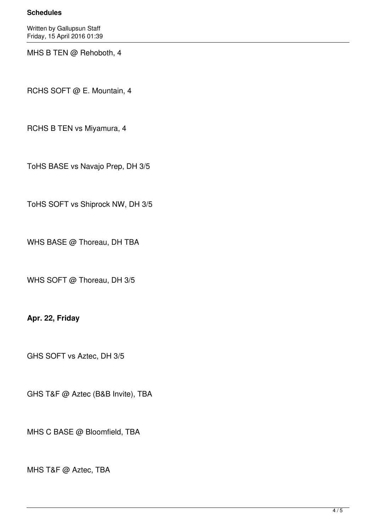## **Schedules**

Written by Gallupsun Staff Friday, 15 April 2016 01:39

MHS B TEN @ Rehoboth, 4

RCHS SOFT @ E. Mountain, 4

RCHS B TEN vs Miyamura, 4

ToHS BASE vs Navajo Prep, DH 3/5

ToHS SOFT vs Shiprock NW, DH 3/5

WHS BASE @ Thoreau, DH TBA

WHS SOFT @ Thoreau, DH 3/5

**Apr. 22, Friday**

GHS SOFT vs Aztec, DH 3/5

GHS T&F @ Aztec (B&B Invite), TBA

MHS C BASE @ Bloomfield, TBA

MHS T&F @ Aztec, TBA